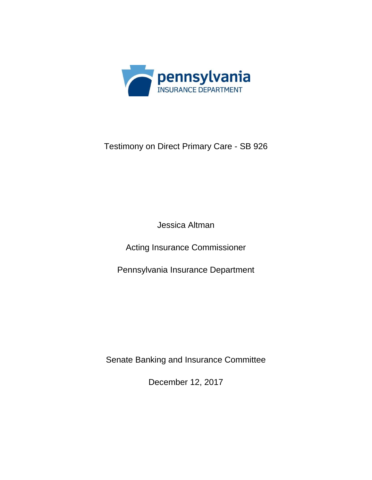

## Testimony on Direct Primary Care - SB 926

Jessica Altman

Acting Insurance Commissioner

Pennsylvania Insurance Department

Senate Banking and Insurance Committee

December 12, 2017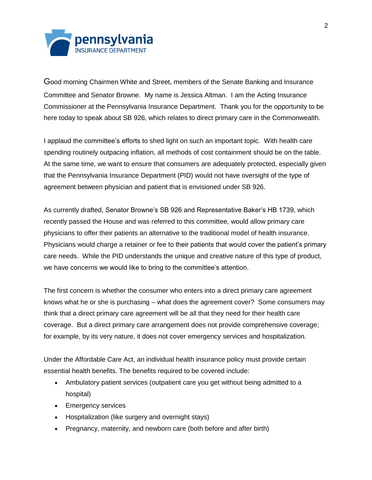

Good morning Chairmen White and Street, members of the Senate Banking and Insurance Committee and Senator Browne. My name is Jessica Altman. I am the Acting Insurance Commissioner at the Pennsylvania Insurance Department. Thank you for the opportunity to be here today to speak about SB 926, which relates to direct primary care in the Commonwealth.

I applaud the committee's efforts to shed light on such an important topic. With health care spending routinely outpacing inflation, all methods of cost containment should be on the table. At the same time, we want to ensure that consumers are adequately protected, especially given that the Pennsylvania Insurance Department (PID) would not have oversight of the type of agreement between physician and patient that is envisioned under SB 926.

As currently drafted, Senator Browne's SB 926 and Representative Baker's HB 1739, which recently passed the House and was referred to this committee, would allow primary care physicians to offer their patients an alternative to the traditional model of health insurance. Physicians would charge a retainer or fee to their patients that would cover the patient's primary care needs. While the PID understands the unique and creative nature of this type of product, we have concerns we would like to bring to the committee's attention.

The first concern is whether the consumer who enters into a direct primary care agreement knows what he or she is purchasing – what does the agreement cover? Some consumers may think that a direct primary care agreement will be all that they need for their health care coverage. But a direct primary care arrangement does not provide comprehensive coverage; for example, by its very nature, it does not cover emergency services and hospitalization.

Under the Affordable Care Act, an individual health insurance policy must provide certain essential health benefits. The benefits required to be covered include:

- Ambulatory patient services (outpatient care you get without being admitted to a hospital)
- Emergency services
- Hospitalization (like surgery and overnight stays)
- Pregnancy, maternity, and newborn care (both before and after birth)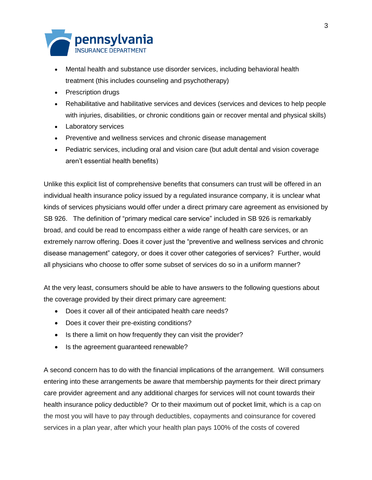

- Mental health and substance use disorder services, including behavioral health treatment (this includes counseling and psychotherapy)
- Prescription drugs
- Rehabilitative and habilitative services and devices (services and devices to help people with injuries, disabilities, or chronic conditions gain or recover mental and physical skills)
- Laboratory services
- Preventive and wellness services and chronic disease management
- Pediatric services, including oral and vision care (but adult dental and vision coverage aren't essential health benefits)

Unlike this explicit list of comprehensive benefits that consumers can trust will be offered in an individual health insurance policy issued by a regulated insurance company, it is unclear what kinds of services physicians would offer under a direct primary care agreement as envisioned by SB 926. The definition of "primary medical care service" included in SB 926 is remarkably broad, and could be read to encompass either a wide range of health care services, or an extremely narrow offering. Does it cover just the "preventive and wellness services and chronic disease management" category, or does it cover other categories of services? Further, would all physicians who choose to offer some subset of services do so in a uniform manner?

At the very least, consumers should be able to have answers to the following questions about the coverage provided by their direct primary care agreement:

- Does it cover all of their anticipated health care needs?
- Does it cover their pre-existing conditions?
- Is there a limit on how frequently they can visit the provider?
- Is the agreement guaranteed renewable?

A second concern has to do with the financial implications of the arrangement. Will consumers entering into these arrangements be aware that membership payments for their direct primary care provider agreement and any additional charges for services will not count towards their health insurance policy deductible? Or to their maximum out of pocket limit, which is a cap on the most you will have to pay through deductibles, copayments and coinsurance for covered services in a plan year, after which your health plan pays 100% of the costs of covered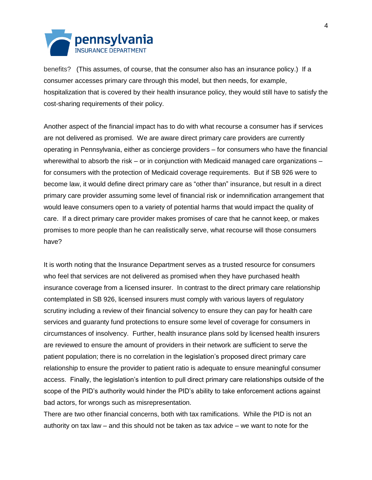

benefits? (This assumes, of course, that the consumer also has an insurance policy.) If a consumer accesses primary care through this model, but then needs, for example, hospitalization that is covered by their health insurance policy, they would still have to satisfy the cost-sharing requirements of their policy.

Another aspect of the financial impact has to do with what recourse a consumer has if services are not delivered as promised. We are aware direct primary care providers are currently operating in Pennsylvania, either as concierge providers – for consumers who have the financial wherewithal to absorb the risk – or in conjunction with Medicaid managed care organizations – for consumers with the protection of Medicaid coverage requirements. But if SB 926 were to become law, it would define direct primary care as "other than" insurance, but result in a direct primary care provider assuming some level of financial risk or indemnification arrangement that would leave consumers open to a variety of potential harms that would impact the quality of care. If a direct primary care provider makes promises of care that he cannot keep, or makes promises to more people than he can realistically serve, what recourse will those consumers have?

It is worth noting that the Insurance Department serves as a trusted resource for consumers who feel that services are not delivered as promised when they have purchased health insurance coverage from a licensed insurer. In contrast to the direct primary care relationship contemplated in SB 926, licensed insurers must comply with various layers of regulatory scrutiny including a review of their financial solvency to ensure they can pay for health care services and guaranty fund protections to ensure some level of coverage for consumers in circumstances of insolvency. Further, health insurance plans sold by licensed health insurers are reviewed to ensure the amount of providers in their network are sufficient to serve the patient population; there is no correlation in the legislation's proposed direct primary care relationship to ensure the provider to patient ratio is adequate to ensure meaningful consumer access. Finally, the legislation's intention to pull direct primary care relationships outside of the scope of the PID's authority would hinder the PID's ability to take enforcement actions against bad actors, for wrongs such as misrepresentation.

There are two other financial concerns, both with tax ramifications. While the PID is not an authority on tax law – and this should not be taken as tax advice – we want to note for the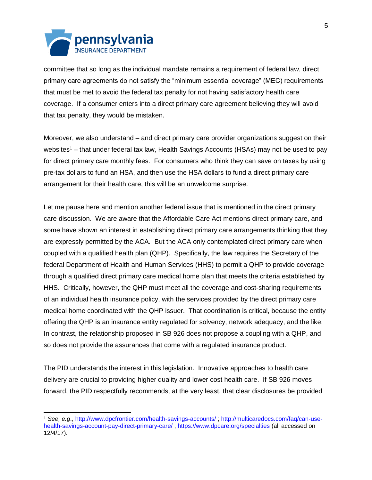

 $\overline{a}$ 

committee that so long as the individual mandate remains a requirement of federal law, direct primary care agreements do not satisfy the "minimum essential coverage" (MEC) requirements that must be met to avoid the federal tax penalty for not having satisfactory health care coverage. If a consumer enters into a direct primary care agreement believing they will avoid that tax penalty, they would be mistaken.

Moreover, we also understand – and direct primary care provider organizations suggest on their websites<sup>1</sup> – that under federal tax law, Health Savings Accounts (HSAs) may not be used to pay for direct primary care monthly fees. For consumers who think they can save on taxes by using pre-tax dollars to fund an HSA, and then use the HSA dollars to fund a direct primary care arrangement for their health care, this will be an unwelcome surprise.

Let me pause here and mention another federal issue that is mentioned in the direct primary care discussion. We are aware that the Affordable Care Act mentions direct primary care, and some have shown an interest in establishing direct primary care arrangements thinking that they are expressly permitted by the ACA. But the ACA only contemplated direct primary care when coupled with a qualified health plan (QHP). Specifically, the law requires the Secretary of the federal Department of Health and Human Services (HHS) to permit a QHP to provide coverage through a qualified direct primary care medical home plan that meets the criteria established by HHS. Critically, however, the QHP must meet all the coverage and cost-sharing requirements of an individual health insurance policy, with the services provided by the direct primary care medical home coordinated with the QHP issuer. That coordination is critical, because the entity offering the QHP is an insurance entity regulated for solvency, network adequacy, and the like. In contrast, the relationship proposed in SB 926 does not propose a coupling with a QHP, and so does not provide the assurances that come with a regulated insurance product.

The PID understands the interest in this legislation. Innovative approaches to health care delivery are crucial to providing higher quality and lower cost health care. If SB 926 moves forward, the PID respectfully recommends, at the very least, that clear disclosures be provided

<sup>1</sup> *See, e.g*.,<http://www.dpcfrontier.com/health-savings-accounts/> ; [http://multicaredocs.com/faq/can-use](http://multicaredocs.com/faq/can-use-health-savings-account-pay-direct-primary-care/)[health-savings-account-pay-direct-primary-care/](http://multicaredocs.com/faq/can-use-health-savings-account-pay-direct-primary-care/);<https://www.dpcare.org/specialties> (all accessed on 12/4/17).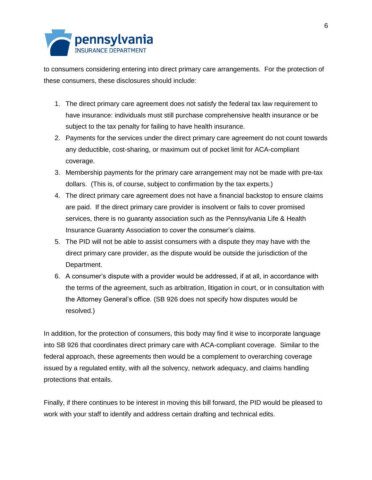

to consumers considering entering into direct primary care arrangements. For the protection of these consumers, these disclosures should include:

- 1. The direct primary care agreement does not satisfy the federal tax law requirement to have insurance: individuals must still purchase comprehensive health insurance or be subject to the tax penalty for failing to have health insurance.
- 2. Payments for the services under the direct primary care agreement do not count towards any deductible, cost-sharing, or maximum out of pocket limit for ACA-compliant coverage.
- 3. Membership payments for the primary care arrangement may not be made with pre-tax dollars. (This is, of course, subject to confirmation by the tax experts.)
- 4. The direct primary care agreement does not have a financial backstop to ensure claims are paid. If the direct primary care provider is insolvent or fails to cover promised services, there is no guaranty association such as the Pennsylvania Life & Health Insurance Guaranty Association to cover the consumer's claims.
- 5. The PID will not be able to assist consumers with a dispute they may have with the direct primary care provider, as the dispute would be outside the jurisdiction of the Department.
- 6. A consumer's dispute with a provider would be addressed, if at all, in accordance with the terms of the agreement, such as arbitration, litigation in court, or in consultation with the Attorney General's office. (SB 926 does not specify how disputes would be resolved.)

In addition, for the protection of consumers, this body may find it wise to incorporate language into SB 926 that coordinates direct primary care with ACA-compliant coverage. Similar to the federal approach, these agreements then would be a complement to overarching coverage issued by a regulated entity, with all the solvency, network adequacy, and claims handling protections that entails.

Finally, if there continues to be interest in moving this bill forward, the PID would be pleased to work with your staff to identify and address certain drafting and technical edits.